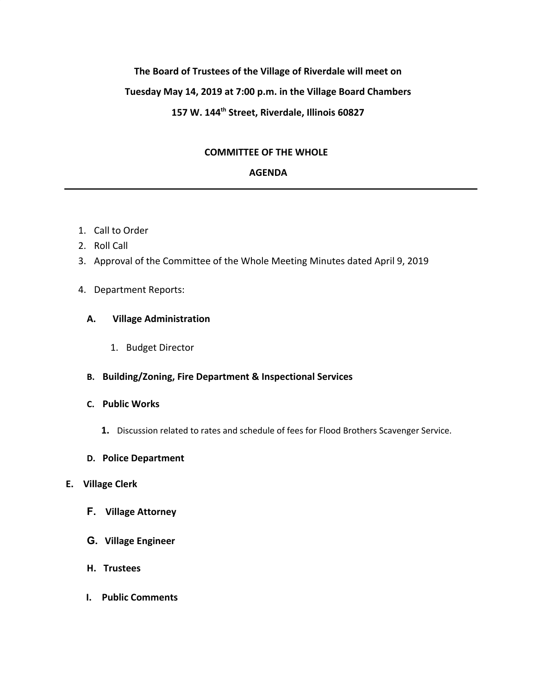# **The Board of Trustees of the Village of Riverdale will meet on Tuesday May 14, 2019 at 7:00 p.m. in the Village Board Chambers 157 W. 144th Street, Riverdale, Illinois 60827**

# **COMMITTEE OF THE WHOLE**

## **AGENDA**

- 1. Call to Order
- 2. Roll Call
- 3. Approval of the Committee of the Whole Meeting Minutes dated April 9, 2019
- 4. Department Reports:

#### **A. Village Administration**

1. Budget Director

#### **B. Building/Zoning, Fire Department & Inspectional Services**

### **C. Public Works**

- **1.** Discussion related to rates and schedule of fees for Flood Brothers Scavenger Service.
- **D. Police Department**

#### **E. Village Clerk**

- **F. Village Attorney**
- **G. Village Engineer**
- **H. Trustees**
- **I. Public Comments**